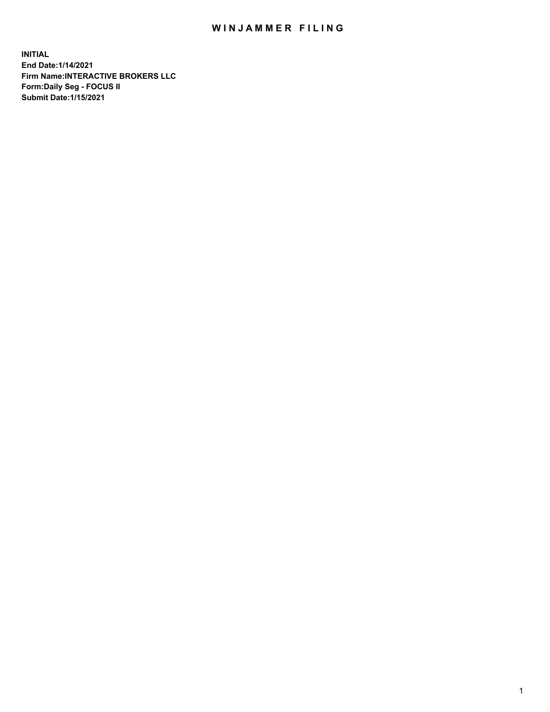## WIN JAMMER FILING

**INITIAL End Date:1/14/2021 Firm Name:INTERACTIVE BROKERS LLC Form:Daily Seg - FOCUS II Submit Date:1/15/2021**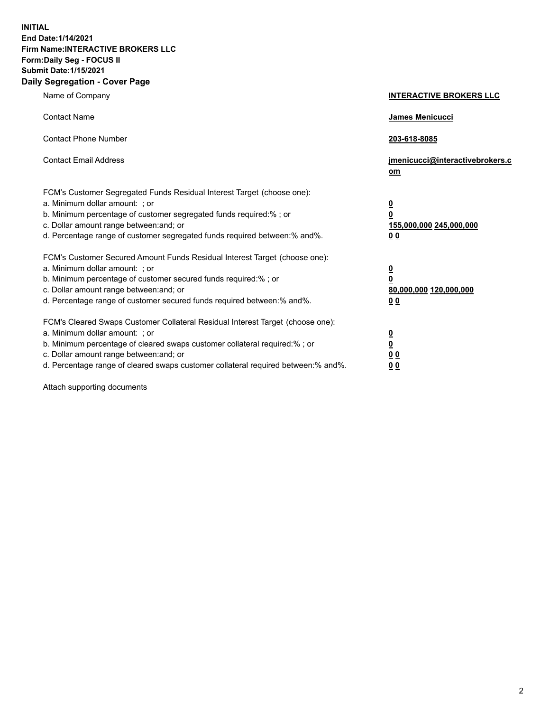**INITIAL End Date:1/14/2021 Firm Name:INTERACTIVE BROKERS LLC Form:Daily Seg - FOCUS II Submit Date:1/15/2021 Daily Segregation - Cover Page**

| Name of Company                                                                                                                                                                                                                                                                                                               | <b>INTERACTIVE BROKERS LLC</b>                                                            |
|-------------------------------------------------------------------------------------------------------------------------------------------------------------------------------------------------------------------------------------------------------------------------------------------------------------------------------|-------------------------------------------------------------------------------------------|
| <b>Contact Name</b>                                                                                                                                                                                                                                                                                                           | James Menicucci                                                                           |
| <b>Contact Phone Number</b>                                                                                                                                                                                                                                                                                                   | 203-618-8085                                                                              |
| <b>Contact Email Address</b>                                                                                                                                                                                                                                                                                                  | jmenicucci@interactivebrokers.c<br>$om$                                                   |
| FCM's Customer Segregated Funds Residual Interest Target (choose one):<br>a. Minimum dollar amount: ; or<br>b. Minimum percentage of customer segregated funds required:% ; or<br>c. Dollar amount range between: and; or<br>d. Percentage range of customer segregated funds required between: % and %.                      | $\overline{\mathbf{0}}$<br>0<br>155,000,000 245,000,000<br>0 <sub>0</sub>                 |
| FCM's Customer Secured Amount Funds Residual Interest Target (choose one):<br>a. Minimum dollar amount: ; or<br>b. Minimum percentage of customer secured funds required:%; or<br>c. Dollar amount range between: and; or<br>d. Percentage range of customer secured funds required between:% and%.                           | <u>0</u><br>$\overline{\mathbf{0}}$<br>80,000,000 120,000,000<br>00                       |
| FCM's Cleared Swaps Customer Collateral Residual Interest Target (choose one):<br>a. Minimum dollar amount: ; or<br>b. Minimum percentage of cleared swaps customer collateral required:%; or<br>c. Dollar amount range between: and; or<br>d. Percentage range of cleared swaps customer collateral required between:% and%. | <u>0</u><br>$\underline{\mathbf{0}}$<br>$\underline{0}$ $\underline{0}$<br>0 <sub>0</sub> |

Attach supporting documents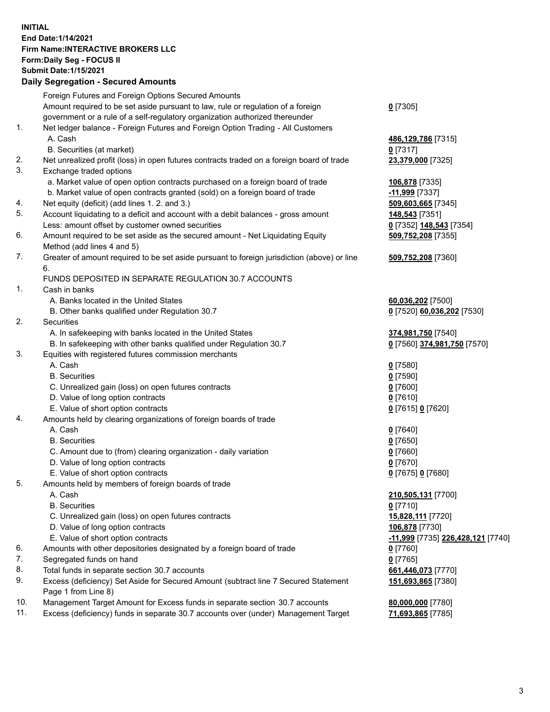## **INITIAL End Date:1/14/2021 Firm Name:INTERACTIVE BROKERS LLC Form:Daily Seg - FOCUS II Submit Date:1/15/2021 Daily Segregation - Secured Amounts**

|     | Daily Jegregation - Jeculed Aniounts                                                        |                                   |
|-----|---------------------------------------------------------------------------------------------|-----------------------------------|
|     | Foreign Futures and Foreign Options Secured Amounts                                         |                                   |
|     | Amount required to be set aside pursuant to law, rule or regulation of a foreign            | $0$ [7305]                        |
|     | government or a rule of a self-regulatory organization authorized thereunder                |                                   |
| 1.  | Net ledger balance - Foreign Futures and Foreign Option Trading - All Customers             |                                   |
|     | A. Cash                                                                                     | 486,129,786 [7315]                |
|     | B. Securities (at market)                                                                   | 0 [7317]                          |
| 2.  | Net unrealized profit (loss) in open futures contracts traded on a foreign board of trade   | 23,379,000 [7325]                 |
| 3.  | Exchange traded options                                                                     |                                   |
|     | a. Market value of open option contracts purchased on a foreign board of trade              | 106,878 [7335]                    |
|     | b. Market value of open contracts granted (sold) on a foreign board of trade                | -11,999 [7337]                    |
| 4.  | Net equity (deficit) (add lines 1. 2. and 3.)                                               | 509,603,665 [7345]                |
| 5.  | Account liquidating to a deficit and account with a debit balances - gross amount           | 148,543 [7351]                    |
|     | Less: amount offset by customer owned securities                                            | 0 [7352] 148,543 [7354]           |
| 6.  | Amount required to be set aside as the secured amount - Net Liquidating Equity              | 509,752,208 [7355]                |
|     | Method (add lines 4 and 5)                                                                  |                                   |
| 7.  | Greater of amount required to be set aside pursuant to foreign jurisdiction (above) or line | 509,752,208 [7360]                |
|     | 6.                                                                                          |                                   |
|     | FUNDS DEPOSITED IN SEPARATE REGULATION 30.7 ACCOUNTS                                        |                                   |
| 1.  | Cash in banks                                                                               |                                   |
|     | A. Banks located in the United States                                                       | 60,036,202 [7500]                 |
|     | B. Other banks qualified under Regulation 30.7                                              | 0 [7520] 60,036,202 [7530]        |
| 2.  | Securities                                                                                  |                                   |
|     | A. In safekeeping with banks located in the United States                                   | 374,981,750 [7540]                |
|     | B. In safekeeping with other banks qualified under Regulation 30.7                          | 0 [7560] 374,981,750 [7570]       |
| 3.  | Equities with registered futures commission merchants                                       |                                   |
|     | A. Cash                                                                                     | $0$ [7580]                        |
|     | <b>B.</b> Securities                                                                        | $0$ [7590]                        |
|     | C. Unrealized gain (loss) on open futures contracts<br>D. Value of long option contracts    | $0$ [7600]                        |
|     | E. Value of short option contracts                                                          | $0$ [7610]                        |
| 4.  | Amounts held by clearing organizations of foreign boards of trade                           | 0 [7615] 0 [7620]                 |
|     | A. Cash                                                                                     | $0$ [7640]                        |
|     | <b>B.</b> Securities                                                                        | $0$ [7650]                        |
|     | C. Amount due to (from) clearing organization - daily variation                             | $0$ [7660]                        |
|     | D. Value of long option contracts                                                           | $0$ [7670]                        |
|     | E. Value of short option contracts                                                          | 0 [7675] 0 [7680]                 |
| 5.  | Amounts held by members of foreign boards of trade                                          |                                   |
|     | A. Cash                                                                                     | 210,505,131 [7700]                |
|     | <b>B.</b> Securities                                                                        | $0$ [7710]                        |
|     | C. Unrealized gain (loss) on open futures contracts                                         | 15,828,111 [7720]                 |
|     | D. Value of long option contracts                                                           | 106,878 [7730]                    |
|     | E. Value of short option contracts                                                          | -11,999 [7735] 226,428,121 [7740] |
| 6.  | Amounts with other depositories designated by a foreign board of trade                      | 0 [7760]                          |
| 7.  | Segregated funds on hand                                                                    | $0$ [7765]                        |
| 8.  | Total funds in separate section 30.7 accounts                                               | 661,446,073 [7770]                |
| 9.  | Excess (deficiency) Set Aside for Secured Amount (subtract line 7 Secured Statement         | 151,693,865 [7380]                |
|     | Page 1 from Line 8)                                                                         |                                   |
| 10. | Management Target Amount for Excess funds in separate section 30.7 accounts                 | 80,000,000 [7780]                 |
| 11. | Excess (deficiency) funds in separate 30.7 accounts over (under) Management Target          | 71,693,865 [7785]                 |
|     |                                                                                             |                                   |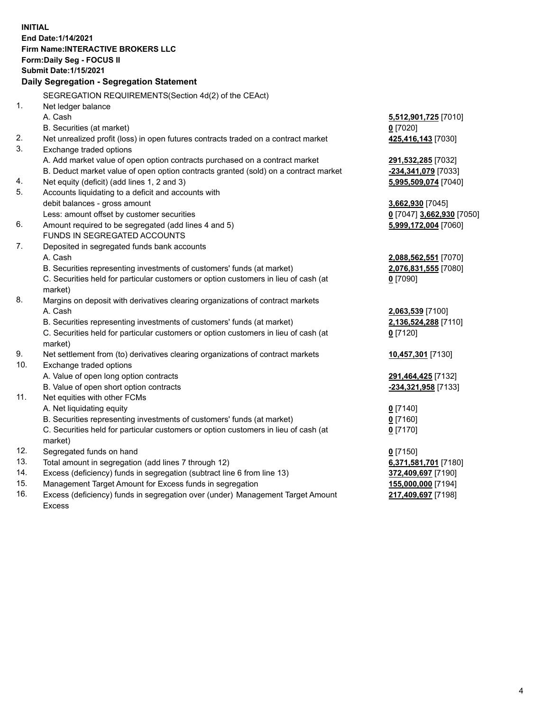**INITIAL End Date:1/14/2021 Firm Name:INTERACTIVE BROKERS LLC Form:Daily Seg - FOCUS II Submit Date:1/15/2021 Daily Segregation - Segregation Statement** SEGREGATION REQUIREMENTS(Section 4d(2) of the CEAct) 1. Net ledger balance A. Cash **5,512,901,725** [7010] B. Securities (at market) **0** [7020] 2. Net unrealized profit (loss) in open futures contracts traded on a contract market **425,416,143** [7030] 3. Exchange traded options A. Add market value of open option contracts purchased on a contract market **291,532,285** [7032] B. Deduct market value of open option contracts granted (sold) on a contract market **-234,341,079** [7033] 4. Net equity (deficit) (add lines 1, 2 and 3) **5,995,509,074** [7040] 5. Accounts liquidating to a deficit and accounts with debit balances - gross amount **3,662,930** [7045] Less: amount offset by customer securities **0** [7047] **3,662,930** [7050] 6. Amount required to be segregated (add lines 4 and 5) **5,999,172,004** [7060] FUNDS IN SEGREGATED ACCOUNTS 7. Deposited in segregated funds bank accounts A. Cash **2,088,562,551** [7070] B. Securities representing investments of customers' funds (at market) **2,076,831,555** [7080] C. Securities held for particular customers or option customers in lieu of cash (at market) **0** [7090] 8. Margins on deposit with derivatives clearing organizations of contract markets A. Cash **2,063,539** [7100] B. Securities representing investments of customers' funds (at market) **2,136,524,288** [7110] C. Securities held for particular customers or option customers in lieu of cash (at market) **0** [7120] 9. Net settlement from (to) derivatives clearing organizations of contract markets **10,457,301** [7130] 10. Exchange traded options A. Value of open long option contracts **291,464,425** [7132] B. Value of open short option contracts **-234,321,958** [7133] 11. Net equities with other FCMs A. Net liquidating equity **0** [7140] B. Securities representing investments of customers' funds (at market) **0** [7160] C. Securities held for particular customers or option customers in lieu of cash (at market) **0** [7170] 12. Segregated funds on hand **0** [7150] 13. Total amount in segregation (add lines 7 through 12) **6,371,581,701** [7180] 14. Excess (deficiency) funds in segregation (subtract line 6 from line 13) **372,409,697** [7190] 15. Management Target Amount for Excess funds in segregation **155,000,000** [7194] 16. Excess (deficiency) funds in segregation over (under) Management Target Amount **217,409,697** [7198]

Excess